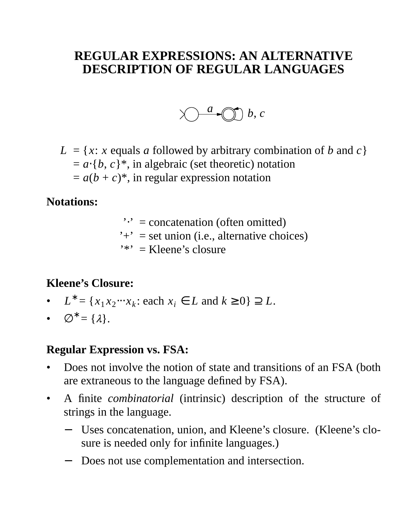## **REGULAR EXPRESSIONS: AN ALTERNATIVE DESCRIPTION OF REGULAR LANGUAGES**



 $L = \{x : x \text{ equals } a \text{ followed by arbitrary combination of } b \text{ and } c\}$  $= a \cdot \{b, c\}^*$ , in algebraic (set theoretic) notation  $= a(b + c)^*$ , in regular expression notation

#### **Notations:**

 $\cdot$  = concatenation (often omitted)

 $'+'$  = set union (i.e., alternative choices)

 $'$ \*' = Kleene's closure

## **Kleene's Closure:**

- $L^* = \{x_1 x_2 \cdots x_k : \text{each } x_i \in L \text{ and } k \ge 0\} \supseteq L.$
- $\varnothing^* = {\lambda}.$

## **Regular Expression vs. FSA:**

- Does not involve the notion of state and transitions of an FSA (both are extraneous to the language defined by FSA).
- A finite *combinatorial* (intrinsic) description of the structure of strings in the language.
	- − Uses concatenation, union, and Kleene's closure. (Kleene's closure is needed only for infinite languages.)
	- Does not use complementation and intersection.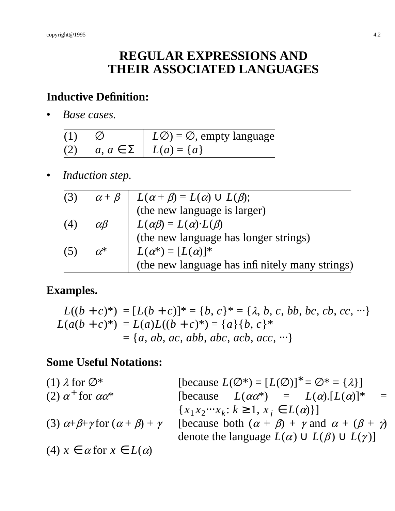## **REGULAR EXPRESSIONS AND THEIR ASSOCIATED LANGUAGES**

#### **Inductive Definition:**

• *Base cases.*

| (1) | $L(\emptyset) = \emptyset$ , empty language |
|-----|---------------------------------------------|
|     | (2) $a, a \in \Sigma \mid L(a) = \{a\}$     |

• *Induction step.*

| (3) |               | $\alpha + \beta \mid L(\alpha + \beta) = L(\alpha) \cup L(\beta);$ |
|-----|---------------|--------------------------------------------------------------------|
|     |               | (the new language is larger)                                       |
| (4) | $\alpha\beta$ | $L(\alpha\beta) = L(\alpha) \cdot L(\beta)$                        |
|     |               | (the new language has longer strings)                              |
| (5) | $\alpha^*$    | $L(\alpha^*) = [L(\alpha)]^*$                                      |
|     |               | (the new language has infinitely many strings)                     |

## **Examples.**

$$
L((b + c)^*) = [L(b + c)]^* = \{b, c\}^* = \{\lambda, b, c, bb, bc, cb, cc, \cdots\}
$$
  

$$
L(a(b + c)^*) = L(a)L((b + c)^*) = \{a\}\{b, c\}^*
$$
  

$$
= \{a, ab, ac, abb, abc, acb, acc, \cdots\}
$$

#### **Some Useful Notations:**

| $(1)$ $\lambda$ for $\varnothing^*$                   | [because $L(\varnothing^*) = [L(\varnothing)]^* = \varnothing^* = {\lambda}$ ] |
|-------------------------------------------------------|--------------------------------------------------------------------------------|
| (2) $\alpha^+$ for $\alpha\alpha^*$                   | [because $L(\alpha \alpha^*) = L(\alpha) [L(\alpha)]^*$<br>$=$                 |
|                                                       | ${x_1x_2\cdots x_k : k \ge 1, x_j \in L(\alpha)}$                              |
| (3) $\alpha+\beta+\gamma$ for $(\alpha+\beta)+\gamma$ | [because both $(\alpha + \beta) + \gamma$ and $\alpha + (\beta + \gamma)$      |
|                                                       | denote the language $L(\alpha) \cup L(\beta) \cup L(\gamma)$                   |
| (4) $x \in \alpha$ for $x \in L(\alpha)$              |                                                                                |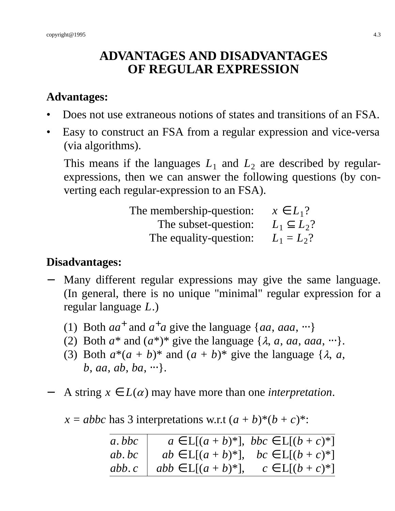## **ADVANTAGES AND DISADVANTAGES OF REGULAR EXPRESSION**

## **Advantages:**

- Does not use extraneous notions of states and transitions of an FSA.
- Easy to construct an FSA from a regular expression and vice-versa (via algorithms).

This means if the languages  $L_1$  and  $L_2$  are described by regularexpressions, then we can answer the following questions (by converting each regular-expression to an FSA).

| The membership-question: | $x \in L_1?$         |
|--------------------------|----------------------|
| The subset-question:     | $L_1 \subseteq L_2?$ |
| The equality-question:   | $L_1 = L_2?$         |

## **Disadvantages:**

- Many different regular expressions may give the same language. (In general, there is no unique "minimal" regular expression for a regular language *L*.)
	- (1) Both  $aa^+$  and  $a^+a$  give the language {*aa*, *aaa*, ···}
	- (2) Both  $a^*$  and  $(a^*)^*$  give the language  $\{\lambda, a, aa, aaa, \cdots\}.$
	- (3) Both  $a^*(a + b)^*$  and  $(a + b)^*$  give the language  $\{\lambda, a, a\}$ *b*, *aa*, *ab*, *ba*, ⋅⋅⋅}.
- $-$  A string *x* ∈ *L*(*α*) may have more than one *interpretation*.

 $x = abbc$  has 3 interpretations w.r.t  $(a + b)*(b + c)*$ :

| a. bbc      |                                              | $a \in L[(a+b)^*], \; bbc \in L[(b+c)^*]$ |
|-------------|----------------------------------------------|-------------------------------------------|
| $ab$ . $bc$ | $ab \in L[(a+b)^*], \quad bc \in L[(b+c)^*]$ |                                           |
| abb.c       | $abb \in L[(a+b)^*],$                        | $c \in L[(b+c)^*]$                        |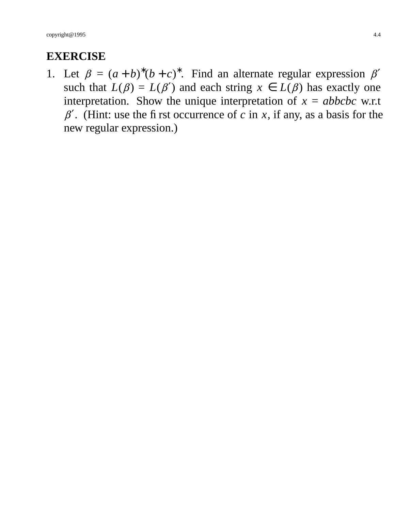#### **EXERCISE**

1. Let  $\beta = (a+b)^*(b+c)^*$ . Find an alternate regular expression  $\beta'$ such that  $L(\beta) = L(\beta')$  and each string  $x \in L(\beta)$  has exactly one interpretation. Show the unique interpretation of  $x = abbcbc$  w.r.t  $β'$ . (Hint: use the first occurrence of *c* in *x*, if any, as a basis for the new regular expression.)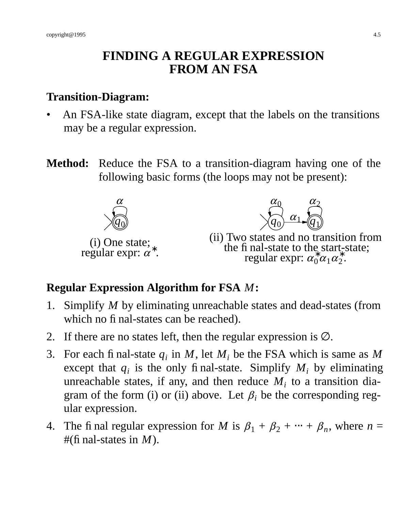## **FINDING A REGULAR EXPRESSION FROM AN FSA**

#### **Transition-Diagram:**

- An FSA-like state diagram, except that the labels on the transitions may be a regular expression.
- **Method:** Reduce the FSA to a transition-diagram having one of the following basic forms (the loops may not be present):



(i) One state; regular expr:  $\alpha^*$ .



(ii) Two states and no transition from the final-state to the start-state; regular expr:  $\alpha_0^*$  $_{0}\alpha_{1}\alpha$ ∗  $\frac{*}{2}$ .

## **Regular Expression Algorithm for FSA** *M***:**

- 1. Simplify *M* by eliminating unreachable states and dead-states (from which no final-states can be reached).
- 2. If there are no states left, then the regular expression is  $\varnothing$ .
- 3. For each final-state  $q_i$  in M, let  $M_i$  be the FSA which is same as M except that  $q_i$  is the only final-state. Simplify  $M_i$  by eliminating unreachable states, if any, and then reduce  $M_i$  to a transition diagram of the form (i) or (ii) above. Let  $\beta_i$  be the corresponding regular expression.
- 4. The final regular expression for *M* is  $\beta_1 + \beta_2 + \cdots + \beta_n$ , where  $n =$  $#$ (final-states in *M*).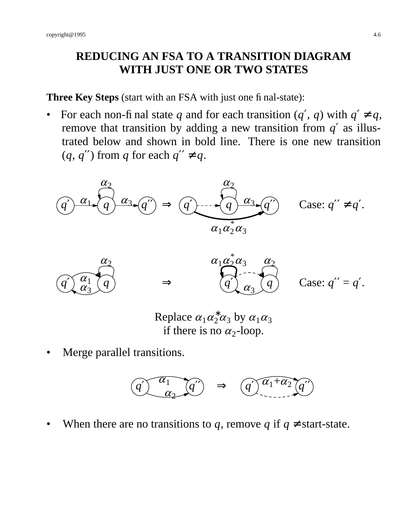#### **REDUCING AN FSA TO A TRANSITION DIAGRAM WITH JUST ONE OR TWO STATES**

#### **Three Key Steps** (start with an FSA with just one final-state):

• For each non-final state *q* and for each transition  $(q', q)$  with  $q' \neq q$ , remove that transition by adding a new transition from *q* ′ as illustrated below and shown in bold line. There is one new transition  $(q, q'')$  from *q* for each  $q'' \neq q$ .





Replace  $\alpha_1 \alpha_2^* \alpha_3$  by  $\alpha_1 \alpha_3$ if there is no  $\alpha_2$ -loop.

Merge parallel transitions.



When there are no transitions to q, remove q if  $q \neq$  start-state.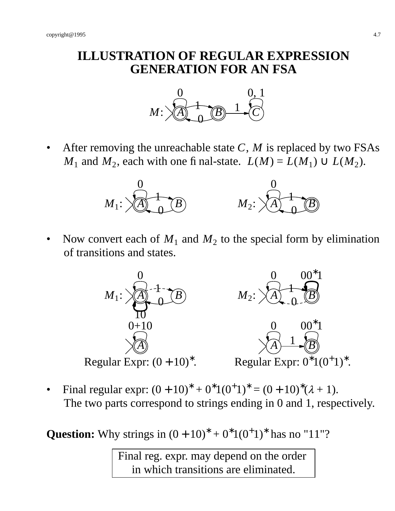## **ILLUSTRATION OF REGULAR EXPRESSION GENERATION FOR AN FSA**



After removing the unreachable state  $C$ ,  $M$  is replaced by two FSAs *M*<sub>1</sub> and *M*<sub>2</sub>, each with one final-state.  $L(M) = L(M_1) \cup L(M_2)$ .



• Now convert each of  $M_1$  and  $M_2$  to the special form by elimination of transitions and states.



• Final regular expr:  $(0+10)^* + 0^*1(0^+1)^* = (0+10)^* (\lambda + 1)$ . The two parts correspond to strings ending in 0 and 1, respectively.

**Question:** Why strings in  $(0 + 10)^* + 0^*1(0^+1)^*$  has no "11"?

Final reg. expr. may depend on the order in which transitions are eliminated.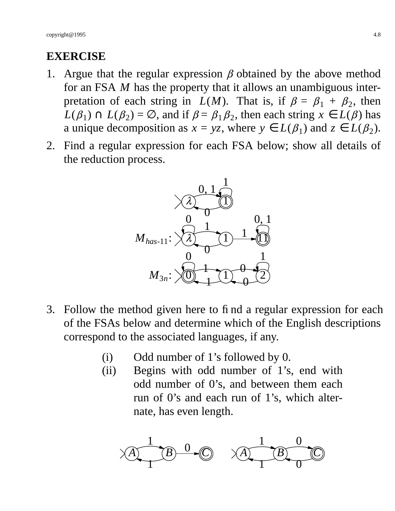# **EXERCISE**

- 1. Argue that the regular expression  $\beta$  obtained by the above method for an FSA *M* has the property that it allows an unambiguous interpretation of each string in  $L(M)$ . That is, if  $\beta = \beta_1 + \beta_2$ , then  $L(\beta_1) \cap L(\beta_2) = \emptyset$ , and if  $\beta = \beta_1 \beta_2$ , then each string  $x \in L(\beta)$  has a unique decomposition as  $x = yz$ , where  $y \in L(\beta_1)$  and  $z \in L(\beta_2)$ .
- 2. Find a regular expression for each FSA below; show all details of the reduction process.



- 3. Follow the method given here to find a regular expression for each of the FSAs below and determine which of the English descriptions correspond to the associated languages, if any.
	- (i) Odd number of 1's followed by 0.
	- (ii) Begins with odd number of 1's, end with odd number of 0's, and between them each run of 0's and each run of 1's, which alternate, has even length.

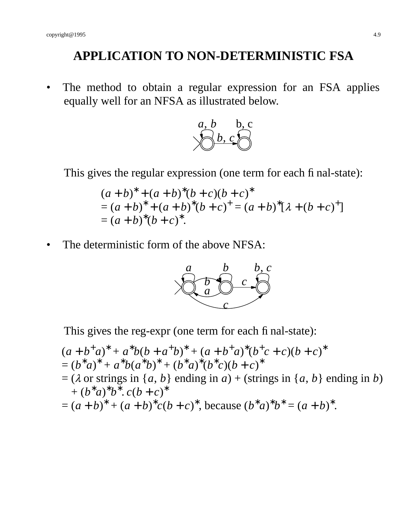# **APPLICATION TO NON-DETERMINISTIC FSA**

• The method to obtain a regular expression for an FSA applies equally well for an NFSA as illustrated below.



This gives the regular expression (one term for each final-state):

$$
(a + b)^* + (a + b)^*(b + c)(b + c)^*
$$
  
=  $(a + b)^* + (a + b)^*(b + c)^+ = (a + b)^*[\lambda + (b + c)^+]$   
=  $(a + b)^*(b + c)^*$ .

• The deterministic form of the above NFSA:



This gives the reg-expr (one term for each final-state):

$$
(a + b^{+}a)^{*} + a^{*}b(b + a^{+}b)^{*} + (a + b^{+}a)^{*}(b^{+}c + c)(b + c)^{*}
$$
  
=  $(b^{*}a)^{*} + a^{*}b(a^{*}b)^{*} + (b^{*}a)^{*}(b^{*}c)(b + c)^{*}$   
=  $(\lambda \text{ or strings in } \{a, b\} \text{ ending in } a) + (\text{strings in } \{a, b\} \text{ ending in } b)$   
+  $(b^{*}a)^{*}b^{*} \cdot c(b + c)^{*}$   
=  $(a + b)^{*} + (a + b)^{*}c(b + c)^{*}$ , because  $(b^{*}a)^{*}b^{*} = (a + b)^{*}$ .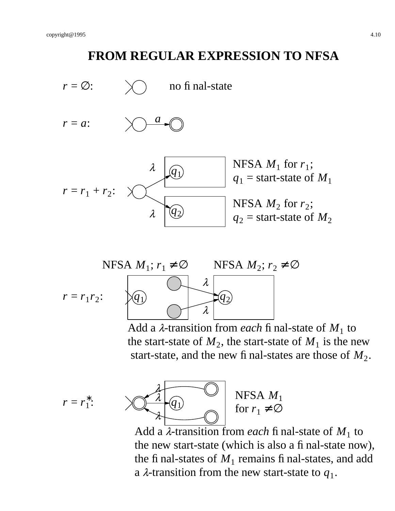# **FROM REGULAR EXPRESSION TO NFSA**



*q*1 NFSA  $M_1$ ;  $r_1 \neq \emptyset$ *q*2 λ λ  $NFSA M_2; r_2 \neq \emptyset$  $r = r_1 r_2$ :

> Add a  $\lambda$ -transition from *each* final-state of  $M_1$  to the start-state of  $M_2$ , the start-state of  $M_1$  is the new start-state, and the new fi nal-states are those of  $M_2$ .

$$
r=r_1^*:
$$



<sup>λ</sup> NFSA *M*<sup>1</sup> for  $r_1 \neq \emptyset$ 

Add a  $\lambda$ -transition from *each* final-state of  $M_1$  to the new start-state (which is also a final-state now), the final-states of  $M_1$  remains final-states, and add a  $\lambda$ -transition from the new start-state to  $q_1$ .